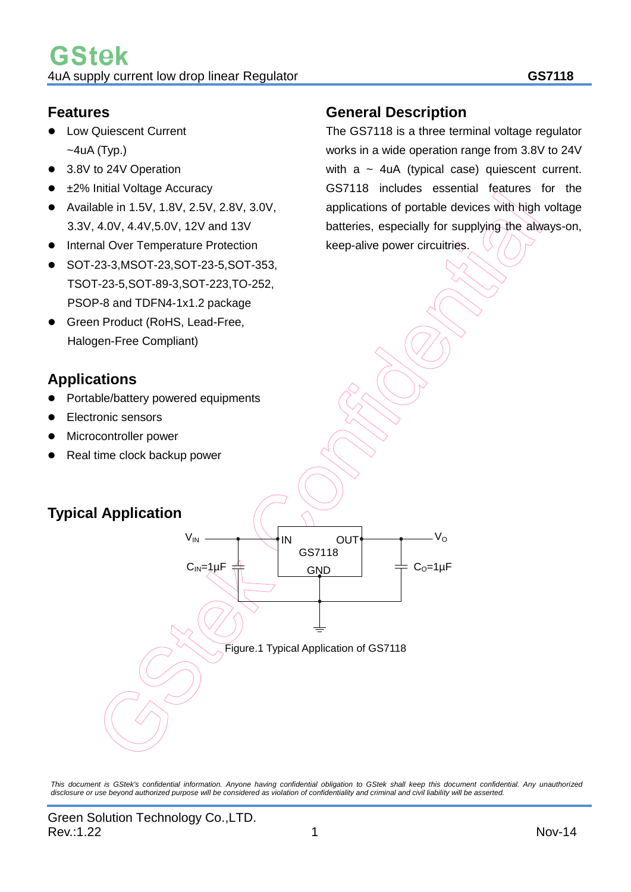### **Features**

- Low Quiescent Current  $~\sim$ 4uA (Typ.)
- 3.8V to 24V Operation
- ±2% Initial Voltage Accuracy
- Available in 1.5V, 1.8V, 2.5V, 2.8V, 3.0V, 3.3V, 4.0V, 4.4V,5.0V, 12V and 13V
- Internal Over Temperature Protection
- SOT-23-3,MSOT-23,SOT-23-5,SOT-353, TSOT-23-5,SOT-89-3,SOT-223,TO-252, PSOP-8 and TDFN4-1x1.2 package
- Green Product (RoHS, Lead-Free, Halogen-Free Compliant)

# **Applications**

- Portable/battery powered equipments
- Electronic sensors
- Microcontroller power
- Real time clock backup power

# **Typical Application**



*This document is GStek's confidential information. Anyone having confidential obligation to GStek shall keep this document confidential. Any unauthorized disclosure or use beyond authorized purpose will be considered as violation of confidentiality and criminal and civil liability will be asserted.*

# **General Description**

The GS7118 is a three terminal voltage regulator works in a wide operation range from 3.8V to 24V with  $a \sim 4uA$  (typical case) quiescent current. GS7118 includes essential features for the applications of portable devices with high voltage batteries, especially for supplying the always-on, keep-alive power circuitries.

Rev.:1.22 1 Nov-14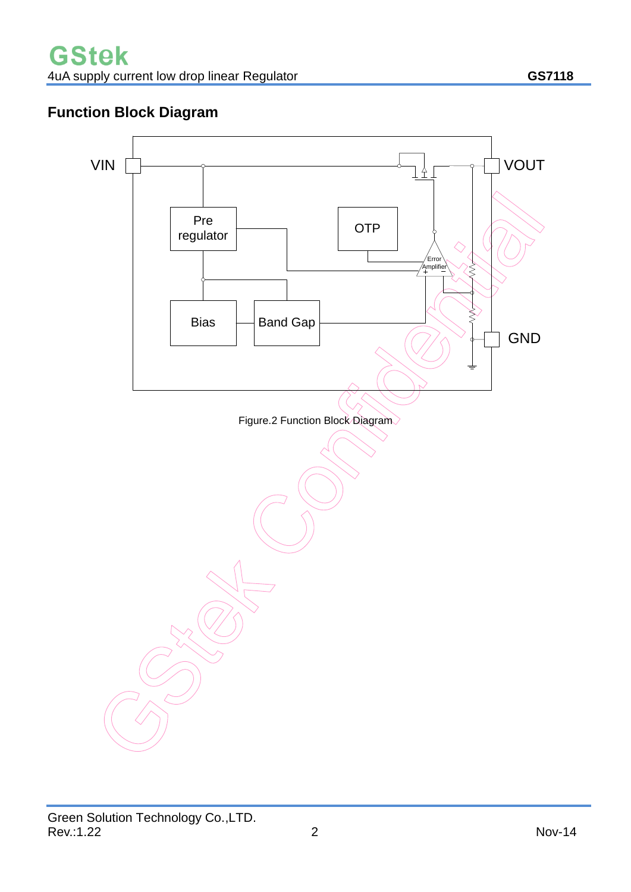# **Function Block Diagram**

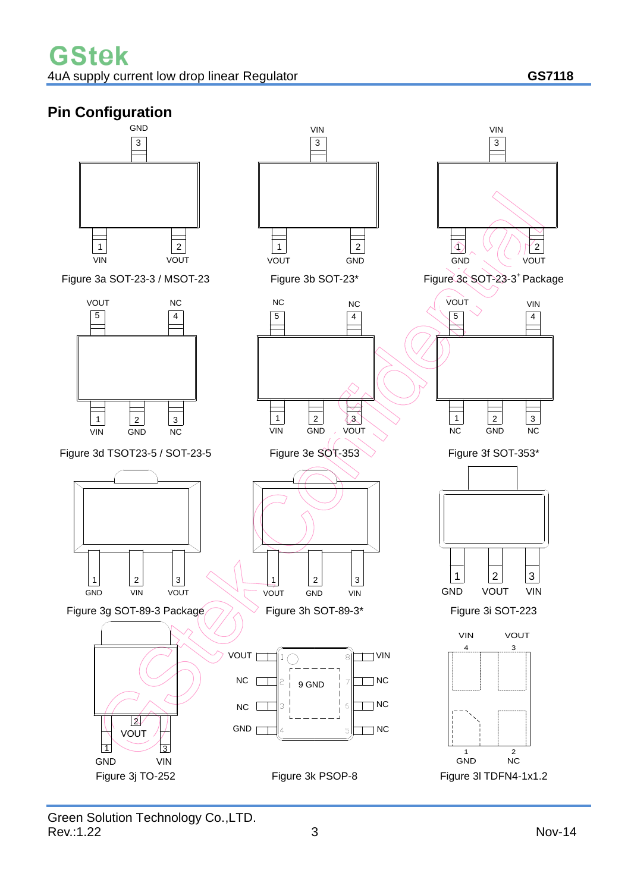# **Pin Configuration**

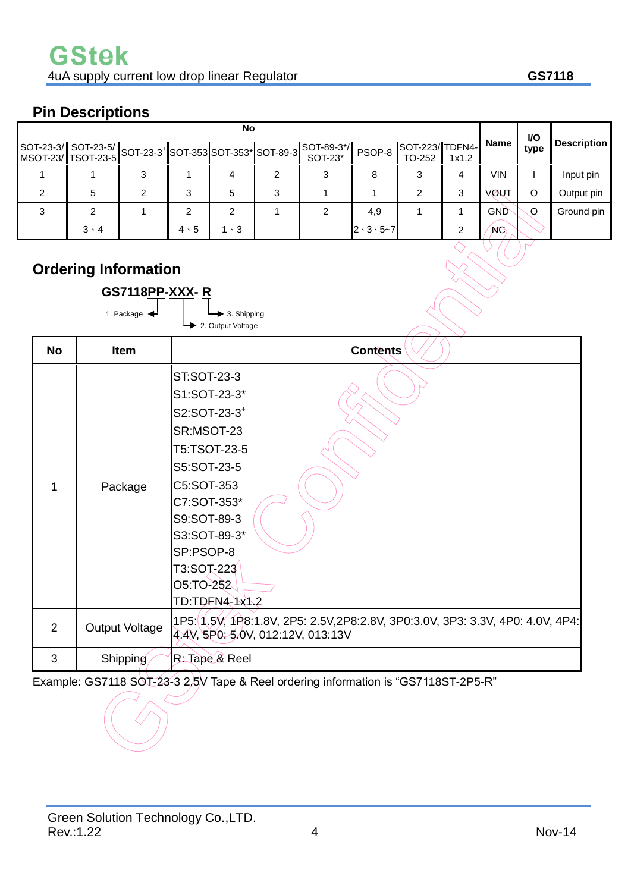# **Pin Descriptions**

| No |             |  |             |             |   |                                                                                                         |                         |                          | <b>VO</b> |                |      |                    |
|----|-------------|--|-------------|-------------|---|---------------------------------------------------------------------------------------------------------|-------------------------|--------------------------|-----------|----------------|------|--------------------|
|    |             |  |             |             |   | SOT-23-3/ SOT-23-5/ SOT-23-3 <sup>+</sup> SOT-353 SOT-353 <sup>*</sup> SOT-89-3 SOT-89-3 <sup>*</sup> / | PSOP-8                  | SOT-223/TDFN4-<br>TO-252 | 1x1.2     | Name           | type | <b>Description</b> |
|    |             |  |             |             |   |                                                                                                         | 8                       |                          | 4         | VIN            |      | Input pin          |
| ົ  | 5           |  | 3           | 5           | 3 |                                                                                                         |                         |                          | 3         | <b>VØUT</b>    |      | Output pin         |
| 3  |             |  | ົ           | ົ           |   |                                                                                                         | 4,9                     |                          |           | <b>GND</b>     | O    | Ground pin         |
|    | $3 \cdot 4$ |  | $4 \cdot 5$ | $1 \cdot 3$ |   |                                                                                                         | $2 \cdot 3 \cdot 5 - 7$ |                          | ⌒         | N <sub>C</sub> |      |                    |

# **Ordering Information**

|                | <b>GS7118PP-XXX-R</b>           |                                                                                                                                                                                                                            |
|----------------|---------------------------------|----------------------------------------------------------------------------------------------------------------------------------------------------------------------------------------------------------------------------|
|                | 1. Package $\blacktriangleleft$ | $\blacktriangleright$ 3. Shipping<br>2. Output Voltage                                                                                                                                                                     |
| <b>No</b>      | Item                            | <b>Contents</b>                                                                                                                                                                                                            |
| 1              | Package                         | ST:SOT-23-3<br>S1:SOT-23-3*<br>S2:SOT-23-3 <sup>+</sup><br>SR:MSOT-23<br>T5:TSOT-23-5<br>S5:SOT-23-5<br>C5:SOT-353<br>C7:SOT-353*<br>S9:SOT-89-3<br>S3:SOT-89-3*<br>SP:PSOP-8<br>T3:SOT-223<br>O5:TO-252<br>TD:TDFN4-1x1.2 |
| $\overline{2}$ | Output Voltage                  | 1P5:(1.5V, 1P8:1.8V, 2P5: 2.5V,2P8:2.8V, 3P0:3.0V, 3P3: 3.3V, 4P0: 4.0V, 4P4:<br>4.4V, 5P0: 5.0V, 012:12V, 013:13V                                                                                                         |
| 3              | Shipping                        | R: Tape & Reel                                                                                                                                                                                                             |

Example: GS7118 SOT-23-3 2.5V Tape & Reel ordering information is "GS7118ST-2P5-R"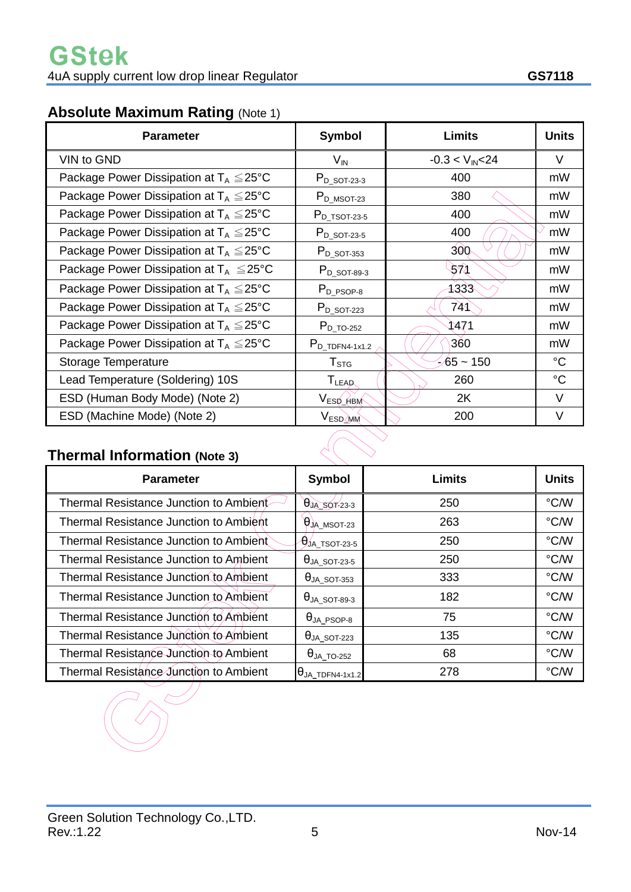# **Absolute Maximum Rating** (Note 1)

| <b>Parameter</b>                                    | Symbol                       | <b>Limits</b>        | <b>Units</b> |
|-----------------------------------------------------|------------------------------|----------------------|--------------|
| VIN to GND                                          | $V_{\text{IN}}$              | $-0.3 < V_{IN} < 24$ | $\vee$       |
| Package Power Dissipation at $T_A \leq 25^{\circ}C$ | $P_{D_5O T-23-3}$            | 400                  | mW           |
| Package Power Dissipation at $T_A \leq 25^{\circ}C$ | $P_{D_MSOT-23}$              | 380                  | mW           |
| Package Power Dissipation at $T_A \leq 25^{\circ}C$ | $P_{D_T^TSOT-23-5}$          | 400                  | mW           |
| Package Power Dissipation at $T_A \leq 25^{\circ}C$ | $P_{D_5QT-23-5}$             | 400                  | mW           |
| Package Power Dissipation at $T_A \leq 25^{\circ}C$ | $P_{D_5QT-353}$              | 300 <sub>c</sub>     | mW           |
| Package Power Dissipation at $T_A \leq 25^{\circ}C$ | $P_{D_5O T-89-3}$            | 571                  | mW           |
| Package Power Dissipation at $T_A \leq 25^{\circ}C$ | $P_{D_PSOP-8}$               | 1333                 | mW           |
| Package Power Dissipation at $T_A \leq 25^{\circ}C$ | $P_{D_5QT-223}$              | 741)                 | mW           |
| Package Power Dissipation at $T_A \leq 25^{\circ}C$ | $P_{D\_TO-252}$              | 1471                 | mW           |
| Package Power Dissipation at $T_A \leq 25^{\circ}C$ | $P_{D_TDPN4-1x1.2}$          | 360                  | mW           |
| Storage Temperature                                 | ${\sf T}_{\text{STG}}$       | $65 - 150$           | °C           |
| Lead Temperature (Soldering) 10S                    | $\mathsf{T}_{\mathsf{LEAD}}$ | 260                  | $^{\circ}C$  |
| ESD (Human Body Mode) (Note 2)                      | VESD_HBM                     | 2K                   | $\vee$       |
| ESD (Machine Mode) (Note 2)                         | V <sub>ESD</sub> MM          | 200                  | V            |

# **Thermal Information (Note 3)**

| <b>Parameter</b>                              | Symbol                  | <b>Limits</b> | <b>Units</b>  |  |  |
|-----------------------------------------------|-------------------------|---------------|---------------|--|--|
| Thermal Resistance Junction to Ambient        | $\theta$ JA_SOT-23-3    | 250           | °C/W          |  |  |
| <b>Thermal Resistance Junction to Ambient</b> | $\theta$ JA_MSOT-23     | 263           | °C/W          |  |  |
| Thermal Resistance Junction to Ambient        | $\theta$ JA_TSOT-23-5   | 250           | °C/W          |  |  |
| Thermal Resistance Junction to Ambient        | $\theta$ JA_SOT-23-5    | 250           | °C/W          |  |  |
| <b>Thermal Resistance Junction to Ambient</b> | $\theta$ JA_SOT-353     | 333           | $\degree$ C/W |  |  |
| <b>Thermal Resistance Junction to Ambient</b> | $\theta$ JA_SOT-89-3    | 182           | °C/W          |  |  |
| Thermal Resistance Junction to Ambient        | $\theta_{JA\_PSOP-8}$   | 75            | °C/W          |  |  |
| Thermal Resistance Junction to Ambient        | $\theta$ JA_SOT-223     | 135           | °C/W          |  |  |
| Thermal Resistance Junction to Ambient        | $\theta$ JA_TO-252      | 68            | °C/W          |  |  |
| Thermal Resistance Junction to Ambient        | $\theta$ JA_TDFN4-1x1.2 | 278           | $\degree$ C/W |  |  |
|                                               |                         |               |               |  |  |

 $\curvearrowright$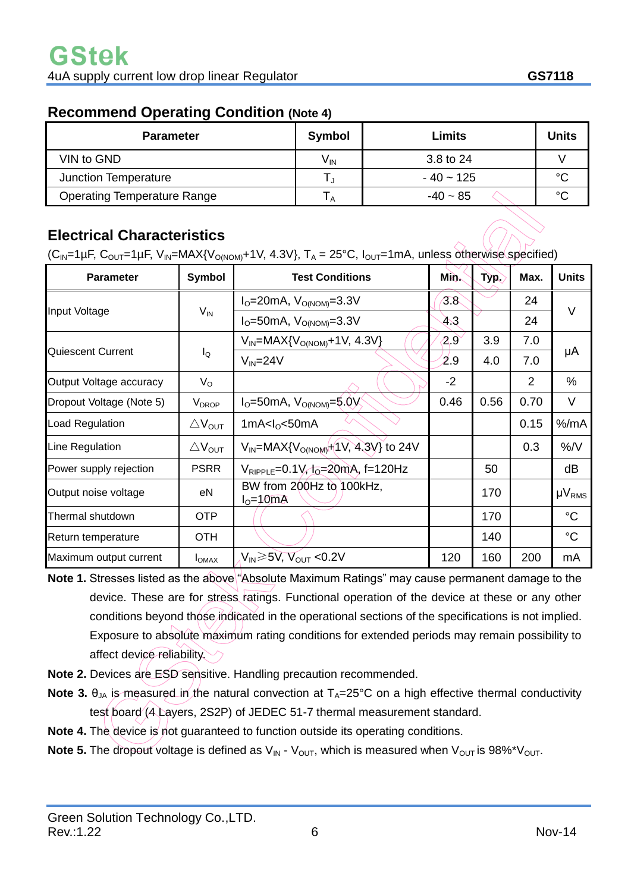### **Recommend Operating Condition (Note 4)**

| <b>Parameter</b>                   | Symbol   | Limits         | <b>Units</b> |
|------------------------------------|----------|----------------|--------------|
| VIN to GND                         | $V_{IN}$ | 3.8 to 24      |              |
| <b>Junction Temperature</b>        |          | $-40 \sim 125$ | $\sim$       |
| <b>Operating Temperature Range</b> | ΙA       | $-40 \sim 85$  | $\sim$       |

# **Electrical Characteristics**

 $(C_{\text{IN}}=1\,\mu\text{F}, C_{\text{OUT}}=1\,\mu\text{F}, V_{\text{IN}}=MAX\{V_{\text{ONOM}}+1V, 4.3V\}, T_A = 25\text{°C}, I_{\text{OUT}}=1\,\text{mA}, \text{unless otherwise specified}$ 

| <b>Parameter</b>         | Symbol                       | <b>Test Conditions</b>                            | Mi∕o <sub>∿</sub> | <b>Typ.</b> | Max. | <b>Units</b>  |  |
|--------------------------|------------------------------|---------------------------------------------------|-------------------|-------------|------|---------------|--|
|                          | $V_{IN}$                     | $I_{\rm O} = 20$ mA, $V_{\rm O(NOM)} = 3.3 V$     | 3.8               |             | 24   |               |  |
| Input Voltage            |                              | $I_{\rm O}$ =50mA, $V_{\rm O(NOM)}$ =3.3V         | 43                |             | 24   | V             |  |
|                          | $I_{\mathsf{Q}}$             | $V_{IN}$ =MAX{ $V_{O(NOM)}$ +1V, 4.3V}            | 2.9               | 3.9         | 7.0  |               |  |
| Quiescent Current        |                              | $V_{IN} = 24V$                                    | 2.9               | 4.0         | 7.0  | μA            |  |
| Output Voltage accuracy  | $V_{\rm O}$                  |                                                   | $-2$              |             | 2    | $\%$          |  |
| Dropout Voltage (Note 5) | V <sub>DROP</sub>            | $I_{O} = 50$ mA, $V_{O(NOM)} = 5.0V$              | 0.46              | 0.56        | 0.70 | V             |  |
| <b>Load Regulation</b>   | $\triangle V_{\text{OUT}}$   | 1mA< $I_0$ <50mA                                  |                   |             | 0.15 | $%$ /mA       |  |
| Line Regulation          | $\triangle$ V <sub>OUT</sub> | $V_{IN}$ =MAX{ $V_{O(NOM)}$ +(1V, 4,3V} to 24V    |                   |             | 0.3  | %/V           |  |
| Power supply rejection   | <b>PSRR</b>                  | $V_{RIPPLE} = 0.1 V, I_0 = 20 mA, f = 120 Hz$     |                   | 50          |      | dB            |  |
| Output noise voltage     | eN                           | BW from 200Hz to 100kHz,<br>$I0=10mA$             |                   | 170         |      | $\mu V_{RMS}$ |  |
| Thermal shutdown         | <b>OTP</b>                   |                                                   |                   | 170         |      | $^{\circ}C$   |  |
| Return temperature       | OTH                          |                                                   |                   | 140         |      | $^{\circ}C$   |  |
| Maximum output current   | $I_{OMAX}$                   | $V_{\text{IN}}$ $\geq$ 5V, $V_{\text{OUT}}$ <0.2V | 120               | 160         | 200  | mA            |  |

- **Note 1.** Stresses listed as the above "Absolute Maximum Ratings" may cause permanent damage to the device. These are for stress ratings. Functional operation of the device at these or any other conditions beyond those indicated in the operational sections of the specifications is not implied. Exposure to absolute maximum rating conditions for extended periods may remain possibility to affect device reliability.
- **Note 2.** Devices are ESD sensitive. Handling precaution recommended.
- **Note 3.**  $\theta_{JA}$  is measured in the natural convection at  $T_A=25^{\circ}C$  on a high effective thermal conductivity test board (4 Layers, 2S2P) of JEDEC 51-7 thermal measurement standard.
- **Note 4.** The device is not guaranteed to function outside its operating conditions.
- **Note 5.** The dropout voltage is defined as  $V_{IN}$   $V_{OUT}$ , which is measured when  $V_{OUT}$  is 98%\* $V_{OUT}$ .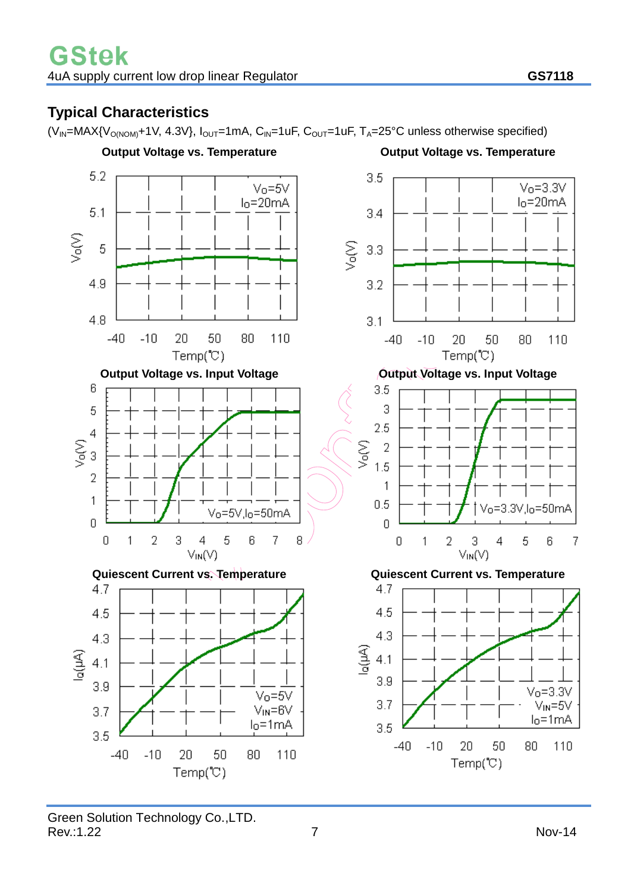# **Typical Characteristics**

 $(V_{IN} = MAX{V_{O(NOM)} + 1V, 4.3V}$ ,  $I_{OUT} = 1mA, C_{IN} = 1uF, C_{OUT} = 1uF, T_A = 25°C$  unless otherwise specified)

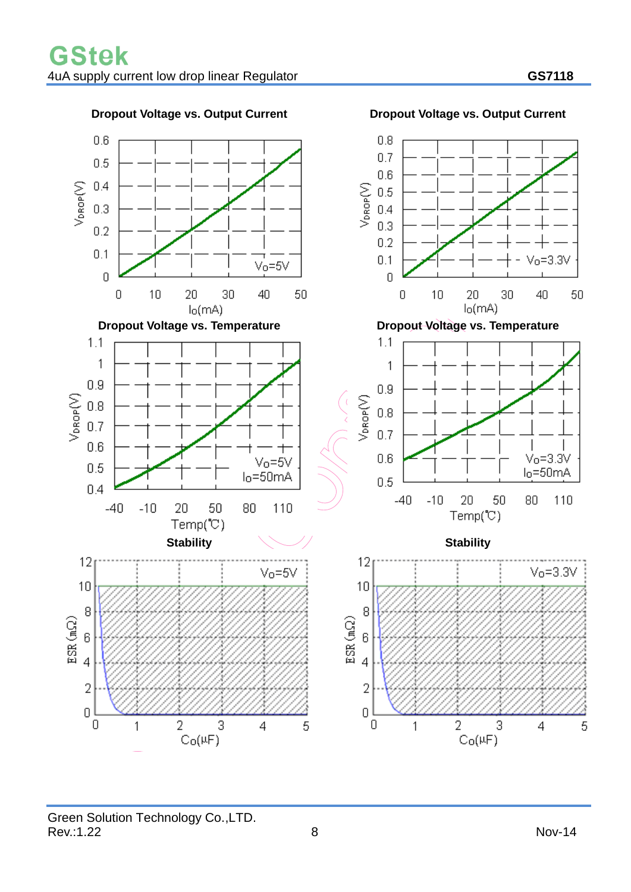

#### **Dropout Voltage vs. Output Current Dropout Voltage vs. Output Current**

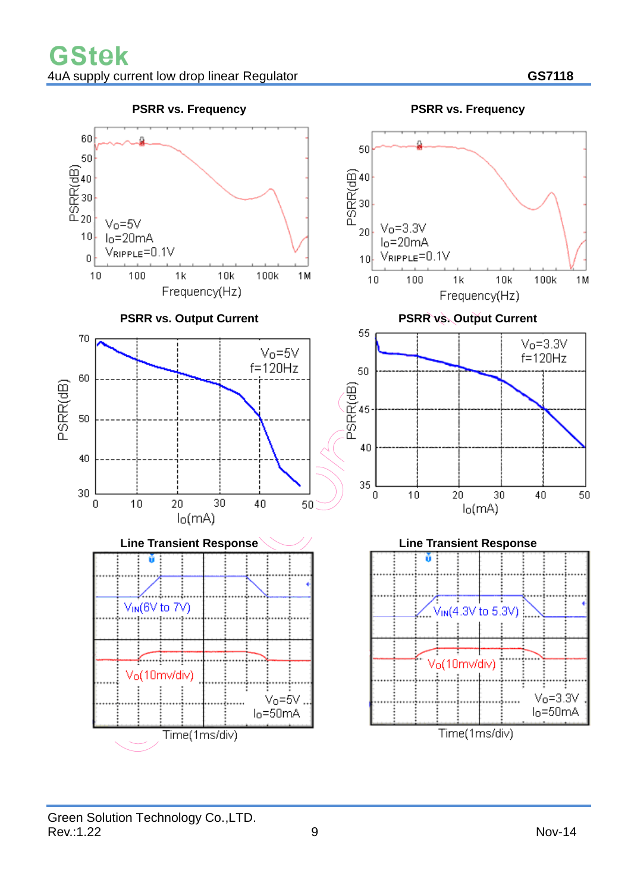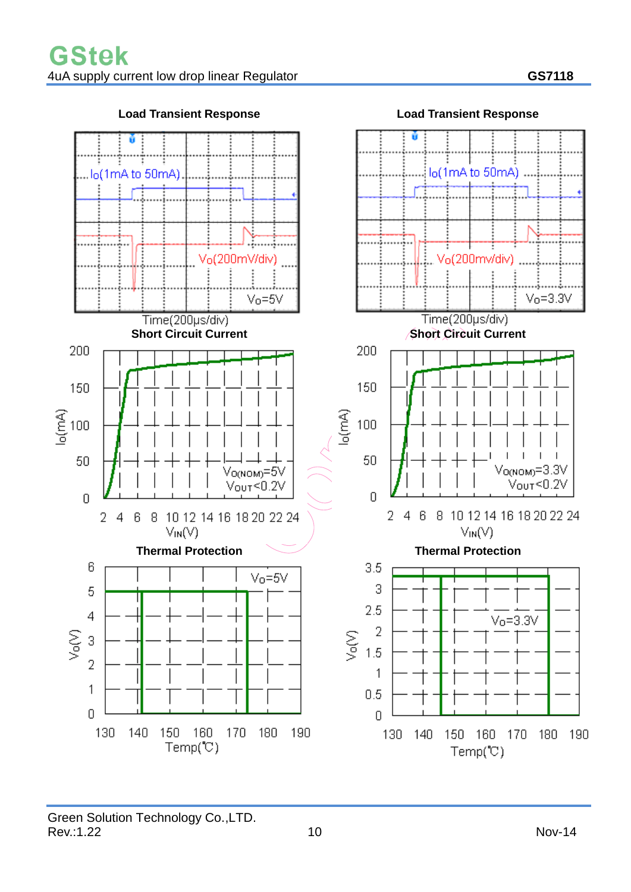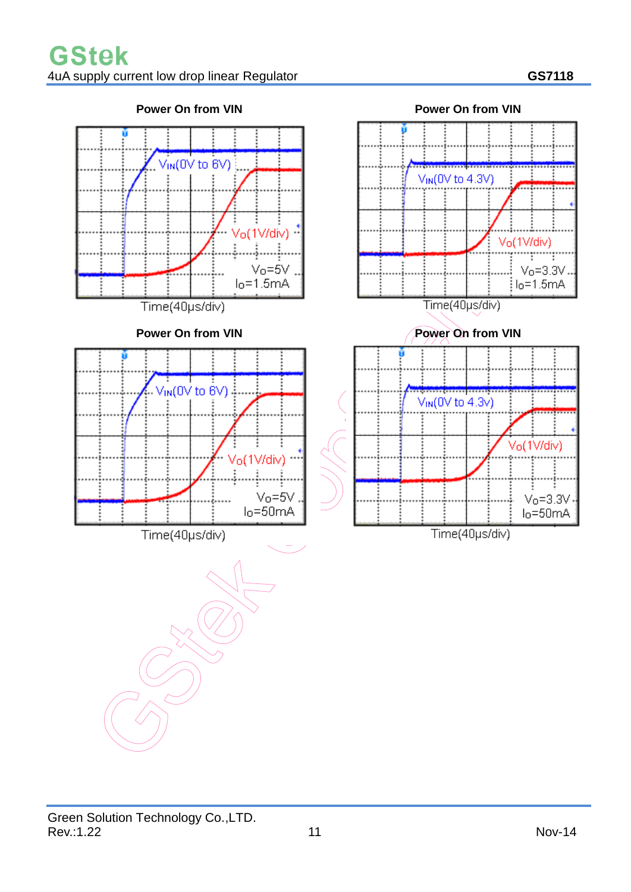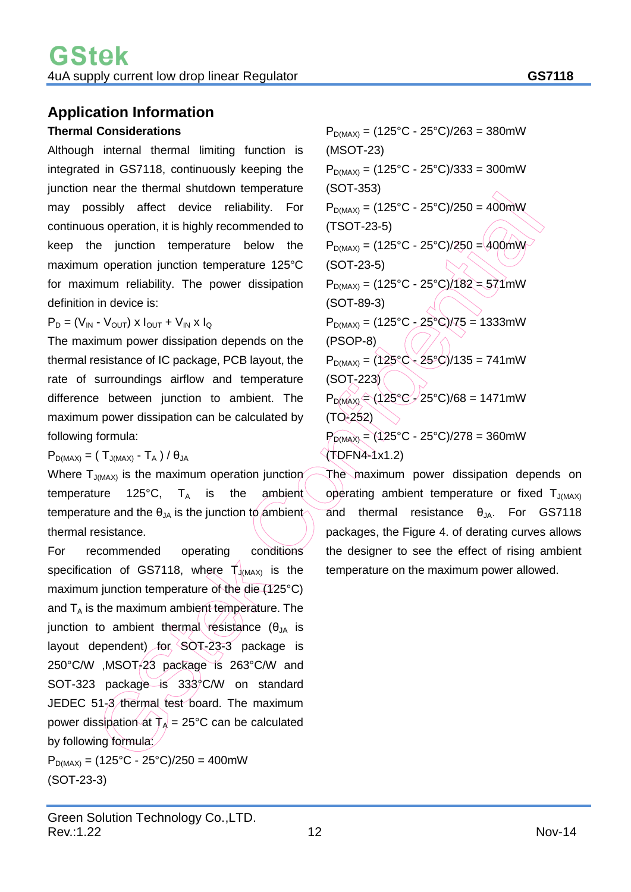# **Application Information**

#### **Thermal Considerations**

Although internal thermal limiting function is integrated in GS7118, continuously keeping the junction near the thermal shutdown temperature may possibly affect device reliability. For continuous operation, it is highly recommended to keep the junction temperature below the maximum operation junction temperature 125°C for maximum reliability. The power dissipation definition in device is:

 $P_D = (V_{IN} - V_{OUT}) \times I_{OUT} + V_{IN} \times I_{Q}$ 

The maximum power dissipation depends on the thermal resistance of IC package, PCB layout, the rate of surroundings airflow and temperature difference between junction to ambient. The maximum power dissipation can be calculated by following formula:

 $P_{D(MAX)} = (T_{J(MAX)} - T_A) / \theta_{JA}$ 

Where  $T_{J(MAX)}$  is the maximum operation junction temperature 125 $^{\circ}$ C, T<sub>A</sub> is the ambient temperature and the  $\theta_{JA}$  is the junction to ambient thermal resistance.

For recommended operating conditions specification of GS7118, where  $T_{J(MAX)}$  is the maximum junction temperature of the die (125°C) and  $T_A$  is the maximum ambient temperature. The junction to ambient thermal resistance (θ<sub>JA</sub> is layout dependent) for SOT-23-3 package is 250°C/W ,MSOT-23 package is 263°C/W and SOT-323 package is 333°C/W on standard JEDEC 51-3 thermal test board. The maximum power dissipation at  $T_A = 25^{\circ}$ C can be calculated by following formula:

 $P_{D(MAX)} = (125\degree C - 25\degree C)/250 = 400$ mW (SOT-23-3)

 $P_{D(MAX)} = (125\degree C - 25\degree C)/263 = 380$ mW (MSOT-23)  $P_{D(MAX)} = (125^{\circ}C - 25^{\circ}C)/333 = 300$  mW (SOT-353)  $P_{D(MAX)} = (125\degree C - 25\degree C)/250 = 400$  mW (TSOT-23-5)  $P_{D(MAX)} = (125^{\circ}C - 25^{\circ}C)/250 = 400mW$ (SOT-23-5)  $P_{D(MAX)} = (125^{\circ}C - 25^{\circ}C)/182 = 571^{\circ}mW$ (SOT-89-3)  $P_{D(MAX)} = (125^{\circ}C - 25^{\circ}C)/75 = 1333$ mW (PSOP-8)  $P_{D(MAX)} = (125\degree C - 25\degree C)/135 = 741 \text{mW}$ (SOT-223)  $P_{D(MAX)} = (125^{\circ}C - 25^{\circ}C)/68 = 1471 \text{mW}$ (TO-252)  $P_{D(MAX)} = (125°C - 25°C)/278 = 360mW$ 

(TDFN4-1x1.2)

The maximum power dissipation depends on operating ambient temperature or fixed  $T_{J(MAX)}$ and thermal resistance  $\theta_{JA}$ . For GS7118 packages, the Figure 4. of derating curves allows the designer to see the effect of rising ambient temperature on the maximum power allowed.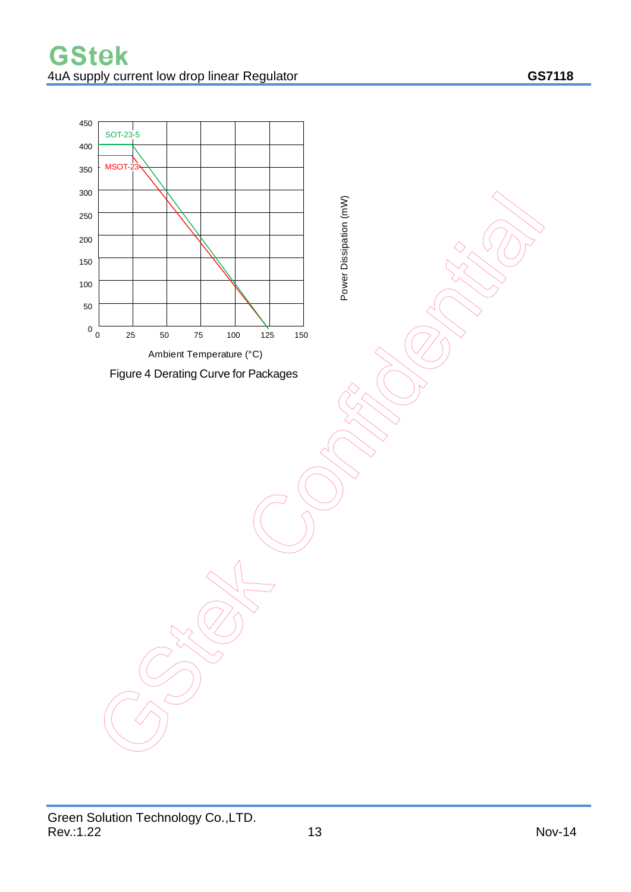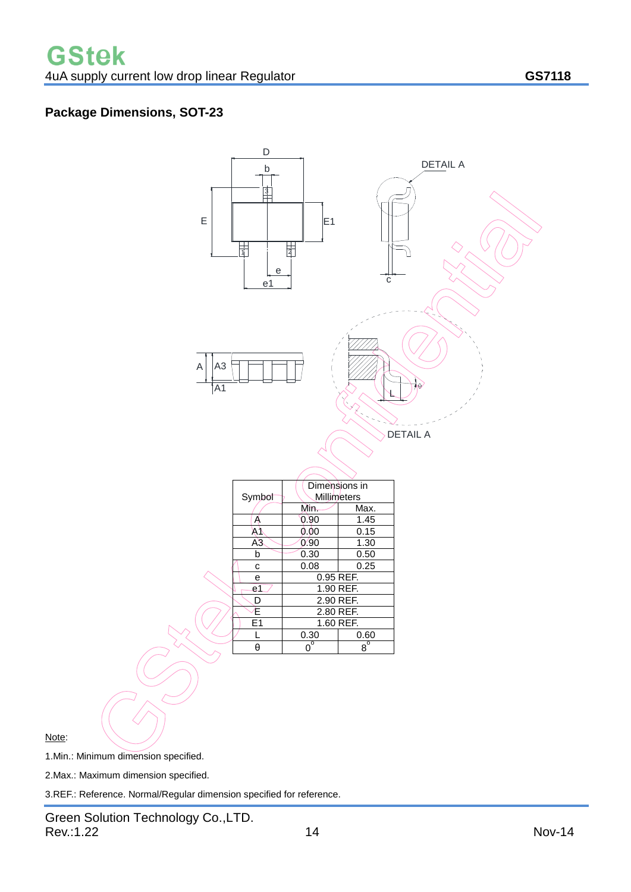### **Package Dimensions, SOT-23**



Note:

1.Min.: Minimum dimension specified.

2.Max.: Maximum dimension specified.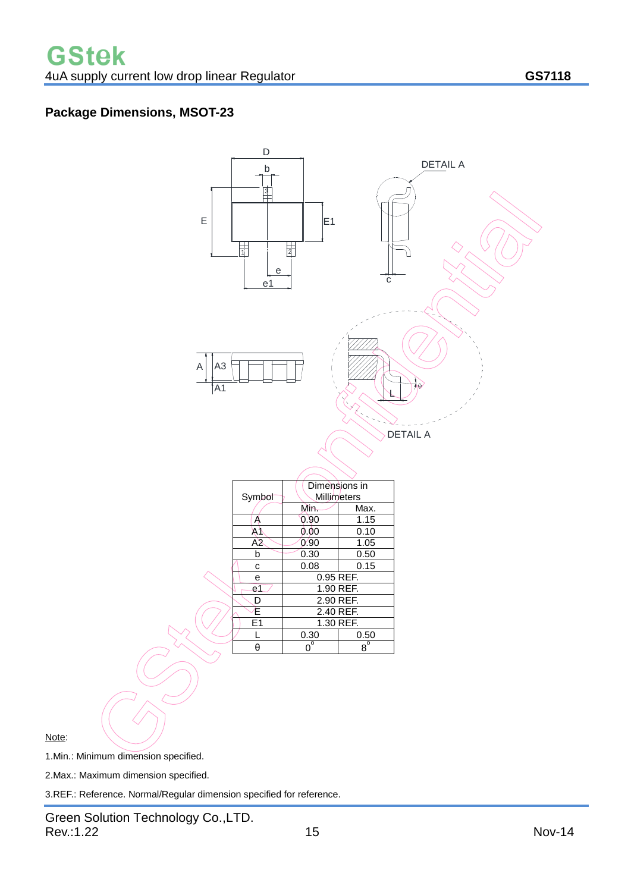### **Package Dimensions, MSOT-23**



Note:

1.Min.: Minimum dimension specified.

2.Max.: Maximum dimension specified.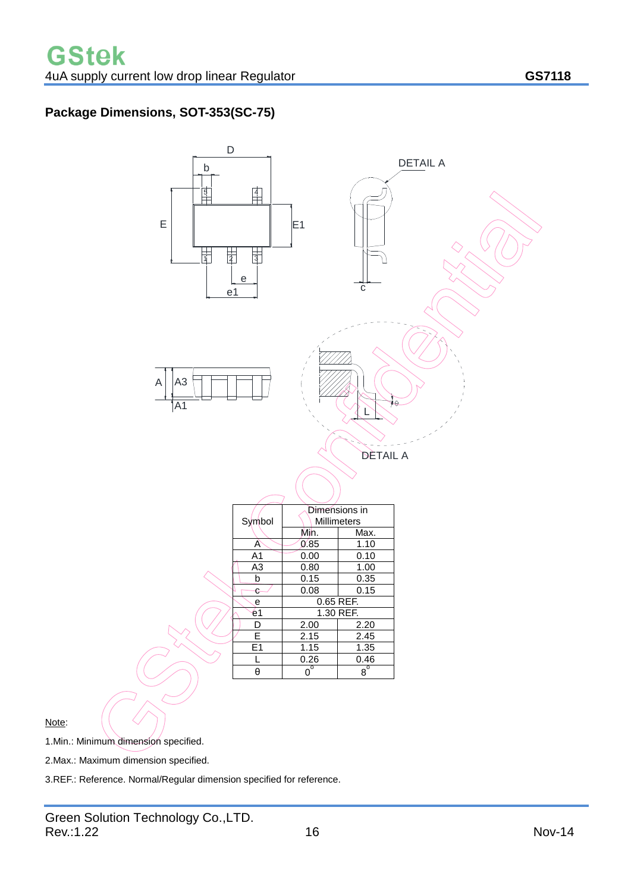### **Package Dimensions, SOT-353(SC-75)**



Note:

1.Min.: Minimum dimension specified.

2.Max.: Maximum dimension specified.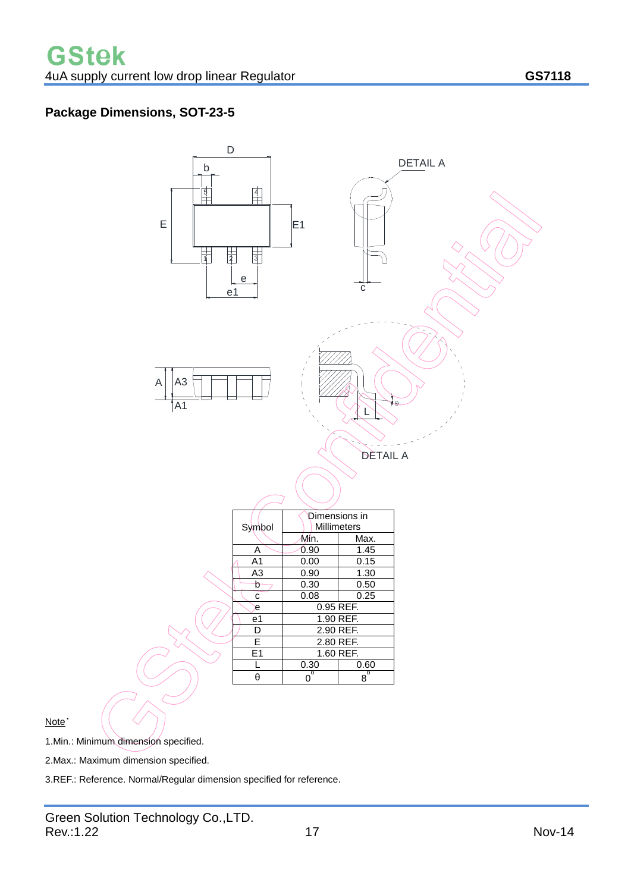### **Package Dimensions, SOT-23-5**



Note˙

1.Min.: Minimum dimension specified.

2.Max.: Maximum dimension specified.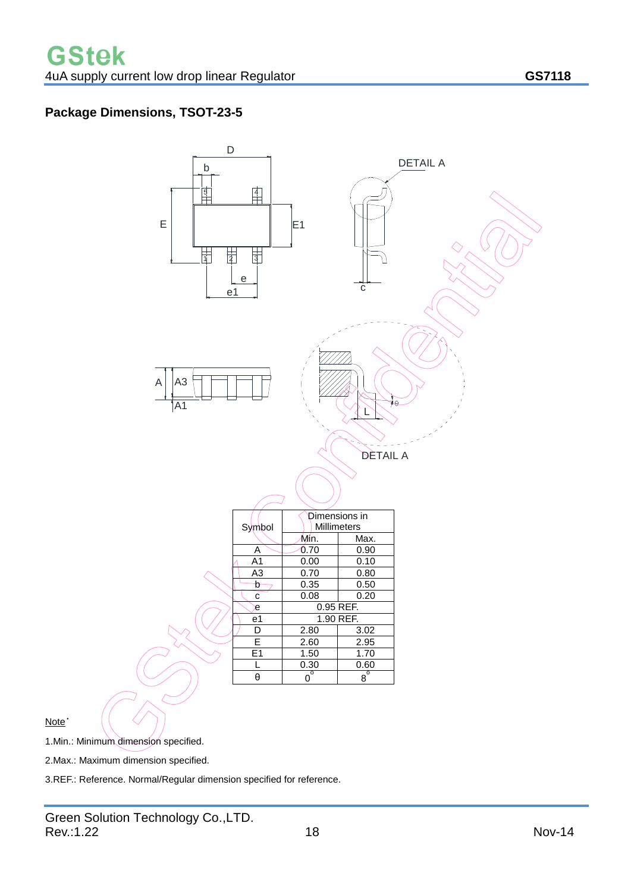### **Package Dimensions, TSOT-23-5**



Note˙

1.Min.: Minimum dimension specified.

2.Max.: Maximum dimension specified.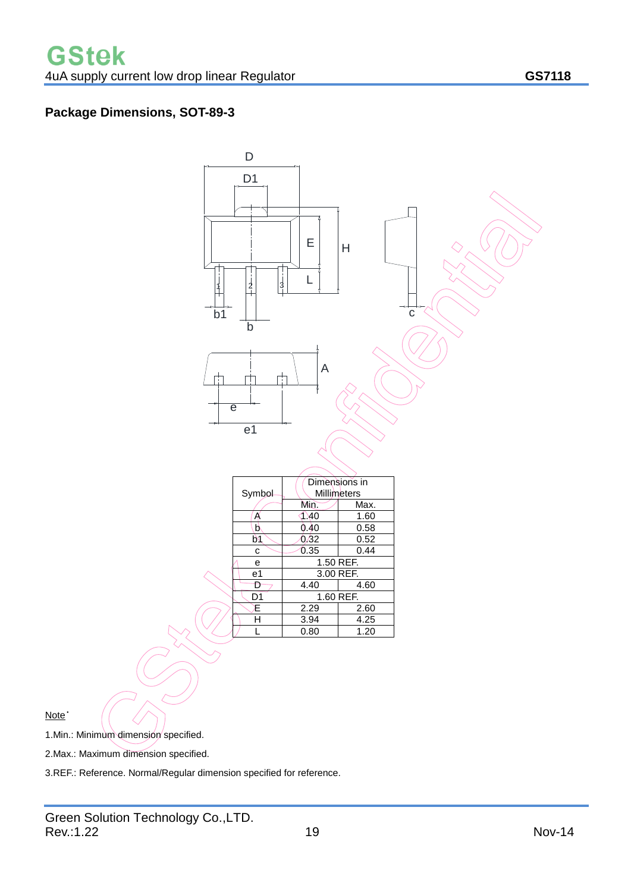### **Package Dimensions, SOT-89-3**



Note<sup>\*</sup>

1.Min.: Minimum dimension specified.

2.Max.: Maximum dimension specified.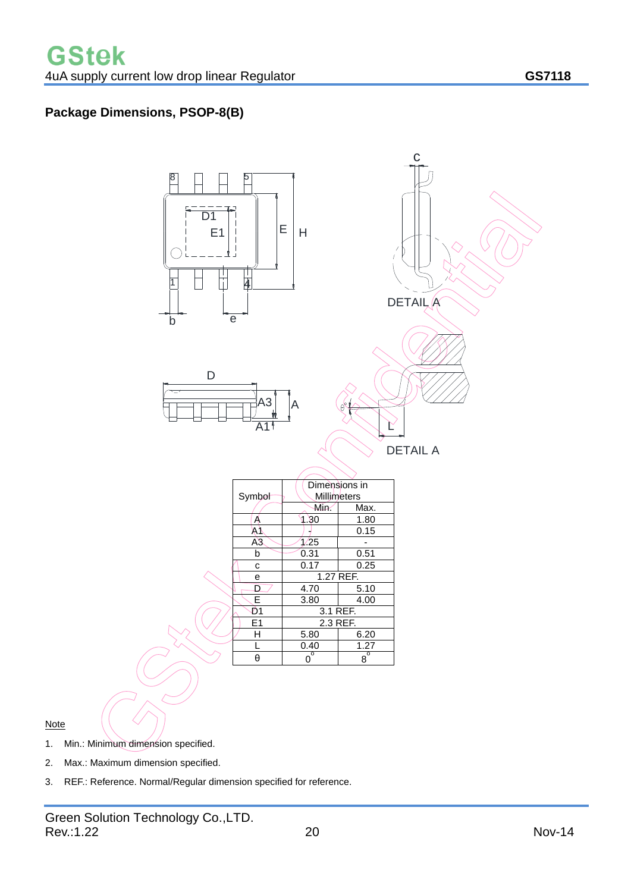### **Package Dimensions, PSOP-8(B)**



Note

1. Min.: Minimum dimension specified.

- 2. Max.: Maximum dimension specified.
- 3. REF.: Reference. Normal/Regular dimension specified for reference.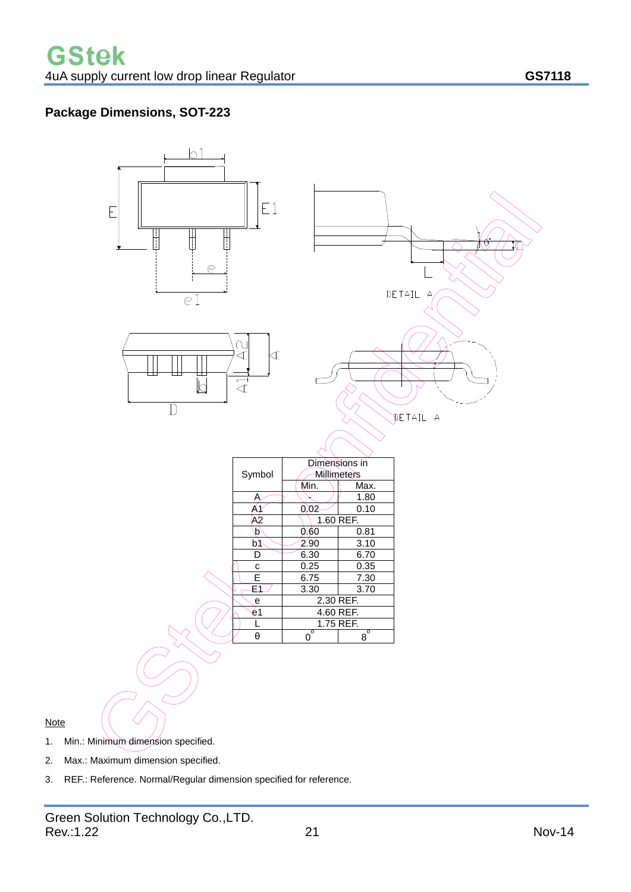### **Package Dimensions, SOT-223**



#### **Note**

- 1. Min.: Minimum dimension specified.
- 2. Max.: Maximum dimension specified.
- 3. REF.: Reference. Normal/Regular dimension specified for reference.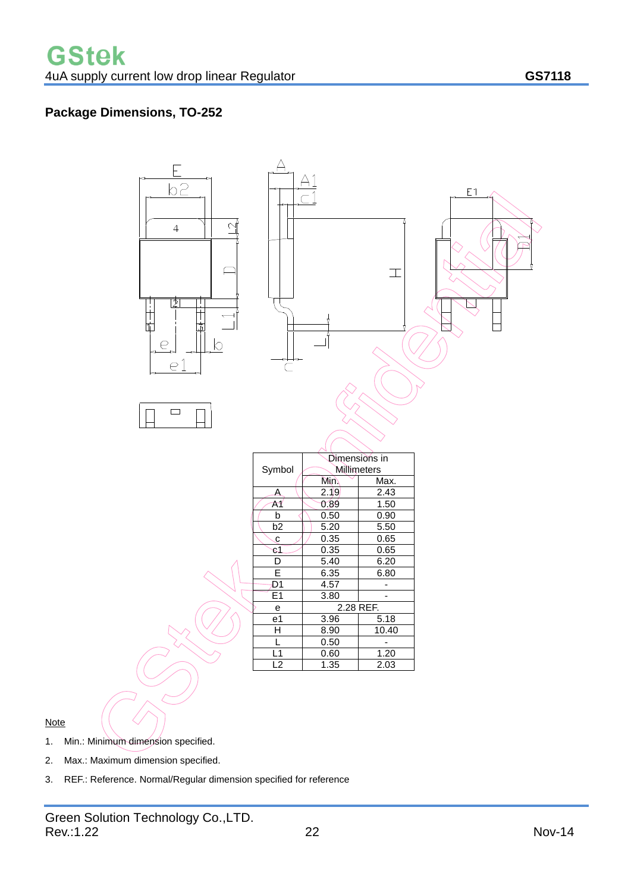### **Package Dimensions, TO-252**



#### **Note**

- 1. Min.: Minimum dimension specified.
- 2. Max.: Maximum dimension specified.
- 3. REF.: Reference. Normal/Regular dimension specified for reference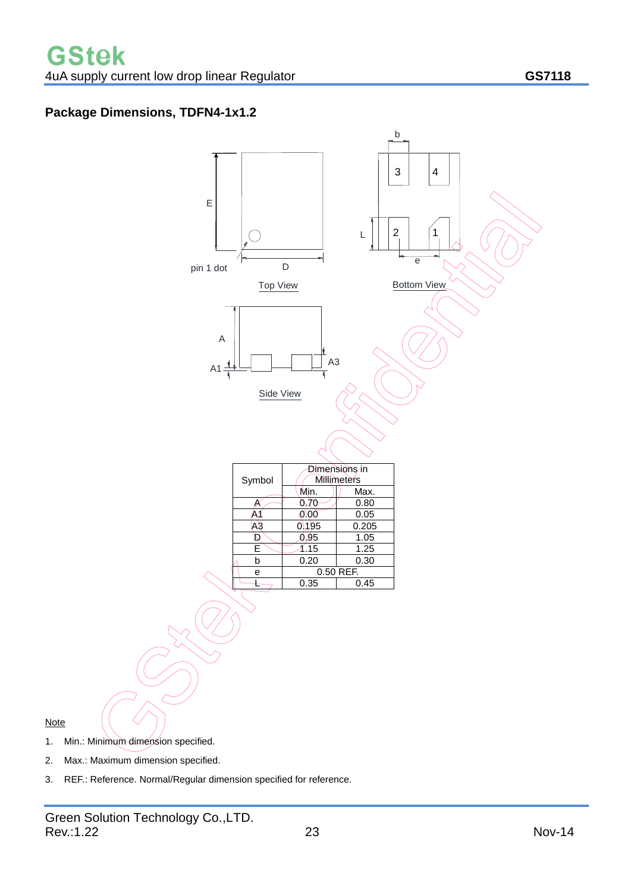### **Package Dimensions, TDFN4-1x1.2**



2. Max.: Maximum dimension specified.

**Note**